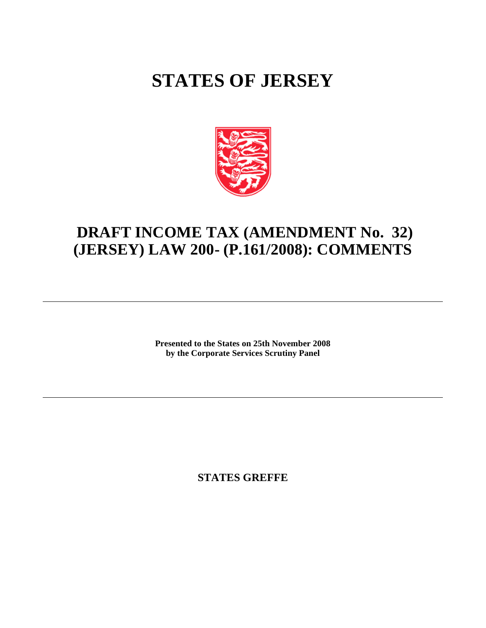# **STATES OF JERSEY**



# **DRAFT INCOME TAX (AMENDMENT No. 32) (JERSEY) LAW 200- (P.161/2008): COMMENTS**

**Presented to the States on 25th November 2008 by the Corporate Services Scrutiny Panel**

**STATES GREFFE**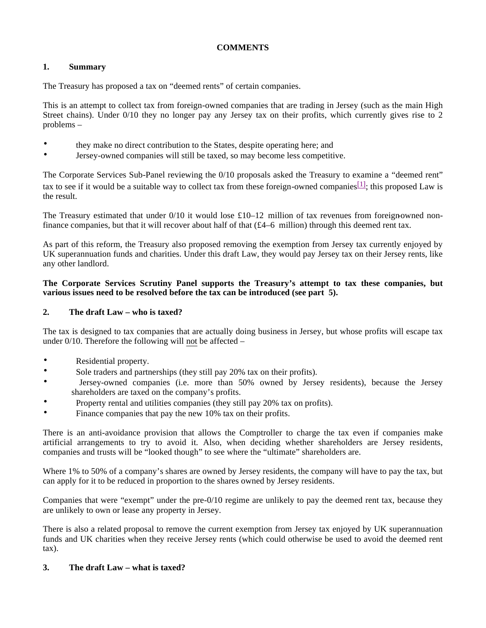# **COMMENTS**

## **1. Summary**

The Treasury has proposed a tax on "deemed rents" of certain companies.

This is an attempt to collect tax from foreign-owned companies that are trading in Jersey (such as the main High Street chains). Under 0/10 they no longer pay any Jersey tax on their profits, which currently gives rise to 2 problems –

- they make no direct contribution to the States, despite operating here; and
- Jersey-owned companies will still be taxed, so may become less competitive.

The Corporate Services Sub-Panel reviewing the 0/10 proposals asked the Treasury to examine a "deemed rent" tax to see if it would be a suitable way to collect tax from these foreign-owned companies  $[1]$ ; this proposed Law is the result.

The Treasury estimated that under  $0/10$  it would lose £10–12 million of tax revenues from foreign-owned nonfinance companies, but that it will recover about half of that (£4–6 million) through this deemed rent tax.

As part of this reform, the Treasury also proposed removing the exemption from Jersey tax currently enjoyed by UK superannuation funds and charities. Under this draft Law, they would pay Jersey tax on their Jersey rents, like any other landlord.

#### **The Corporate Services Scrutiny Panel supports the Treasury's attempt to tax these companies, but various issues need to be resolved before the tax can be introduced (see part 5).**

#### **2. The draft Law – who is taxed?**

The tax is designed to tax companies that are actually doing business in Jersey, but whose profits will escape tax under 0/10. Therefore the following will not be affected –

- Residential property.
- Sole traders and partnerships (they still pay 20% tax on their profits).
- Jersey-owned companies (i.e. more than 50% owned by Jersey residents), because the Jersey shareholders are taxed on the company's profits.
- Property rental and utilities companies (they still pay 20% tax on profits).
- Finance companies that pay the new 10% tax on their profits.

There is an anti-avoidance provision that allows the Comptroller to charge the tax even if companies make artificial arrangements to try to avoid it. Also, when deciding whether shareholders are Jersey residents, companies and trusts will be "looked though" to see where the "ultimate" shareholders are.

Where 1% to 50% of a company's shares are owned by Jersey residents, the company will have to pay the tax, but can apply for it to be reduced in proportion to the shares owned by Jersey residents.

Companies that were "exempt" under the pre-0/10 regime are unlikely to pay the deemed rent tax, because they are unlikely to own or lease any property in Jersey.

There is also a related proposal to remove the current exemption from Jersey tax enjoyed by UK superannuation funds and UK charities when they receive Jersey rents (which could otherwise be used to avoid the deemed rent tax).

#### **3. The draft Law – what is taxed?**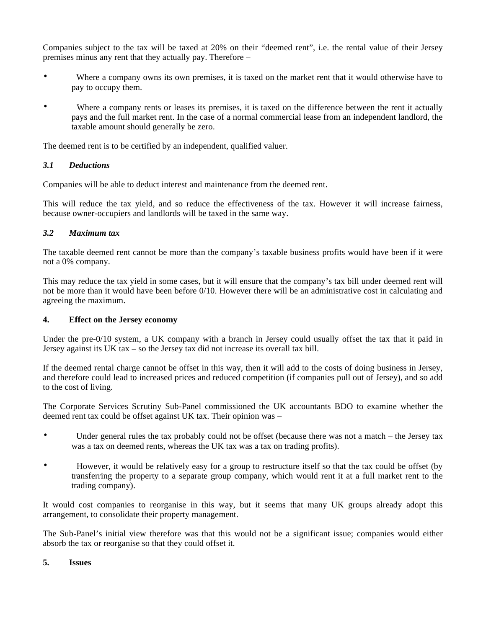Companies subject to the tax will be taxed at 20% on their "deemed rent", i.e. the rental value of their Jersey premises minus any rent that they actually pay. Therefore –

- Where a company owns its own premises, it is taxed on the market rent that it would otherwise have to pay to occupy them.
- Where a company rents or leases its premises, it is taxed on the difference between the rent it actually pays and the full market rent. In the case of a normal commercial lease from an independent landlord, the taxable amount should generally be zero.

The deemed rent is to be certified by an independent, qualified valuer.

## *3.1 Deductions*

Companies will be able to deduct interest and maintenance from the deemed rent.

This will reduce the tax yield, and so reduce the effectiveness of the tax. However it will increase fairness, because owner-occupiers and landlords will be taxed in the same way.

#### *3.2 Maximum tax*

The taxable deemed rent cannot be more than the company's taxable business profits would have been if it were not a 0% company.

This may reduce the tax yield in some cases, but it will ensure that the company's tax bill under deemed rent will not be more than it would have been before 0/10. However there will be an administrative cost in calculating and agreeing the maximum.

#### **4. Effect on the Jersey economy**

Under the pre-0/10 system, a UK company with a branch in Jersey could usually offset the tax that it paid in Jersey against its UK tax – so the Jersey tax did not increase its overall tax bill.

If the deemed rental charge cannot be offset in this way, then it will add to the costs of doing business in Jersey, and therefore could lead to increased prices and reduced competition (if companies pull out of Jersey), and so add to the cost of living.

The Corporate Services Scrutiny Sub-Panel commissioned the UK accountants BDO to examine whether the deemed rent tax could be offset against UK tax. Their opinion was –

- Under general rules the tax probably could not be offset (because there was not a match the Jersey tax was a tax on deemed rents, whereas the UK tax was a tax on trading profits).
- However, it would be relatively easy for a group to restructure itself so that the tax could be offset (by transferring the property to a separate group company, which would rent it at a full market rent to the trading company).

It would cost companies to reorganise in this way, but it seems that many UK groups already adopt this arrangement, to consolidate their property management.

The Sub-Panel's initial view therefore was that this would not be a significant issue; companies would either absorb the tax or reorganise so that they could offset it.

#### **5. Issues**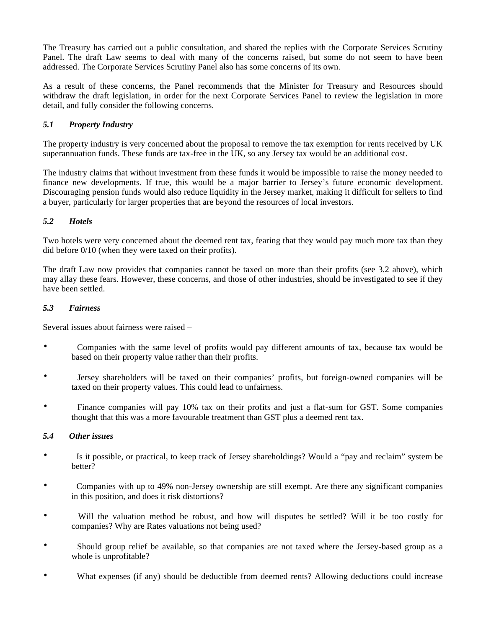The Treasury has carried out a public consultation, and shared the replies with the Corporate Services Scrutiny Panel. The draft Law seems to deal with many of the concerns raised, but some do not seem to have been addressed. The Corporate Services Scrutiny Panel also has some concerns of its own.

As a result of these concerns, the Panel recommends that the Minister for Treasury and Resources should withdraw the draft legislation, in order for the next Corporate Services Panel to review the legislation in more detail, and fully consider the following concerns.

# *5.1 Property Industry*

The property industry is very concerned about the proposal to remove the tax exemption for rents received by UK superannuation funds. These funds are tax-free in the UK, so any Jersey tax would be an additional cost.

The industry claims that without investment from these funds it would be impossible to raise the money needed to finance new developments. If true, this would be a major barrier to Jersey's future economic development. Discouraging pension funds would also reduce liquidity in the Jersey market, making it difficult for sellers to find a buyer, particularly for larger properties that are beyond the resources of local investors.

#### *5.2 Hotels*

Two hotels were very concerned about the deemed rent tax, fearing that they would pay much more tax than they did before 0/10 (when they were taxed on their profits).

The draft Law now provides that companies cannot be taxed on more than their profits (see 3.2 above), which may allay these fears. However, these concerns, and those of other industries, should be investigated to see if they have been settled.

#### *5.3 Fairness*

Several issues about fairness were raised –

- Companies with the same level of profits would pay different amounts of tax, because tax would be based on their property value rather than their profits.
- Jersey shareholders will be taxed on their companies' profits, but foreign-owned companies will be taxed on their property values. This could lead to unfairness.
- Finance companies will pay 10% tax on their profits and just a flat-sum for GST. Some companies thought that this was a more favourable treatment than GST plus a deemed rent tax.

#### *5.4 Other issues*

- Is it possible, or practical, to keep track of Jersey shareholdings? Would a "pay and reclaim" system be better?
- Companies with up to 49% non-Jersey ownership are still exempt. Are there any significant companies in this position, and does it risk distortions?
- Will the valuation method be robust, and how will disputes be settled? Will it be too costly for companies? Why are Rates valuations not being used?
- Should group relief be available, so that companies are not taxed where the Jersey-based group as a whole is unprofitable?
- What expenses (if any) should be deductible from deemed rents? Allowing deductions could increase